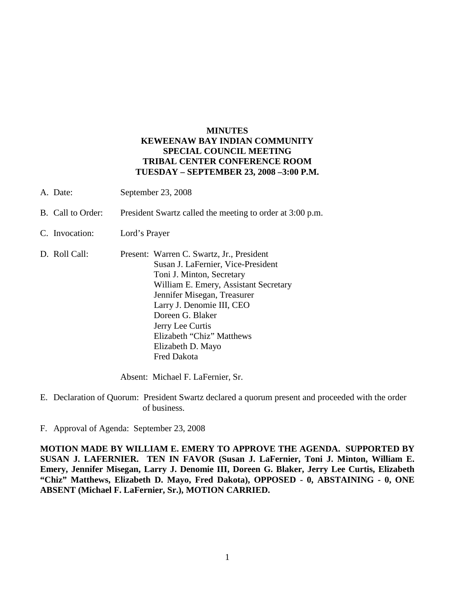## **MINUTES KEWEENAW BAY INDIAN COMMUNITY SPECIAL COUNCIL MEETING TRIBAL CENTER CONFERENCE ROOM TUESDAY – SEPTEMBER 23, 2008 –3:00 P.M.**

- A. Date: September 23, 2008
- B. Call to Order: President Swartz called the meeting to order at 3:00 p.m.
- C. Invocation: Lord's Prayer
- D. Roll Call: Present: Warren C. Swartz, Jr., President Susan J. LaFernier, Vice-President Toni J. Minton, Secretary William E. Emery, Assistant Secretary Jennifer Misegan, Treasurer Larry J. Denomie III, CEO Doreen G. Blaker Jerry Lee Curtis Elizabeth "Chiz" Matthews Elizabeth D. Mayo Fred Dakota

Absent: Michael F. LaFernier, Sr.

- E. Declaration of Quorum: President Swartz declared a quorum present and proceeded with the order of business.
- F. Approval of Agenda: September 23, 2008

**MOTION MADE BY WILLIAM E. EMERY TO APPROVE THE AGENDA. SUPPORTED BY SUSAN J. LAFERNIER. TEN IN FAVOR (Susan J. LaFernier, Toni J. Minton, William E. Emery, Jennifer Misegan, Larry J. Denomie III, Doreen G. Blaker, Jerry Lee Curtis, Elizabeth "Chiz" Matthews, Elizabeth D. Mayo, Fred Dakota), OPPOSED - 0, ABSTAINING - 0, ONE ABSENT (Michael F. LaFernier, Sr.), MOTION CARRIED.**